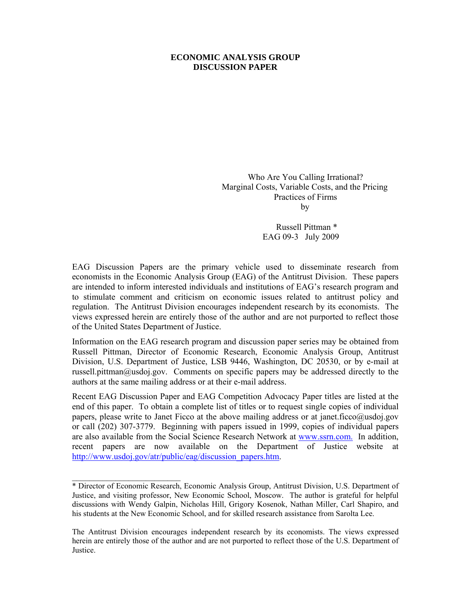### **ECONOMIC ANALYSIS GROUP DISCUSSION PAPER**

 Who Are You Calling Irrational? Marginal Costs, Variable Costs, and the Pricing Practices of Firms **by** 

> Russell Pittman \* EAG 09-3 July 2009

EAG Discussion Papers are the primary vehicle used to disseminate research from economists in the Economic Analysis Group (EAG) of the Antitrust Division. These papers are intended to inform interested individuals and institutions of EAG's research program and to stimulate comment and criticism on economic issues related to antitrust policy and regulation. The Antitrust Division encourages independent research by its economists. The views expressed herein are entirely those of the author and are not purported to reflect those of the United States Department of Justice.

Information on the EAG research program and discussion paper series may be obtained from Russell Pittman, Director of Economic Research, Economic Analysis Group, Antitrust Division, U.S. Department of Justice, LSB 9446, Washington, DC 20530, or by e-mail at russell.pittman@usdoj.gov. Comments on specific papers may be addressed directly to the authors at the same mailing address or at their e-mail address.

Recent EAG Discussion Paper and EAG Competition Advocacy Paper titles are listed at the end of this paper. To obtain a complete list of titles or to request single copies of individual papers, please write to Janet Ficco at the above mailing address or at janet.ficco@usdoj.gov or call (202) 307-3779. Beginning with papers issued in 1999, copies of individual papers are also available from the Social Science Research Network at www.ssrn.com. In addition, recent papers are now available on the Department of Justice website at http://www.usdoj.gov/atr/public/eag/discussion\_papers.htm.

 $\_$ 

<sup>\*</sup> Director of Economic Research, Economic Analysis Group, Antitrust Division, U.S. Department of Justice, and visiting professor, New Economic School, Moscow. The author is grateful for helpful discussions with Wendy Galpin, Nicholas Hill, Grigory Kosenok, Nathan Miller, Carl Shapiro, and his students at the New Economic School, and for skilled research assistance from Sarolta Lee.

The Antitrust Division encourages independent research by its economists. The views expressed herein are entirely those of the author and are not purported to reflect those of the U.S. Department of Justice.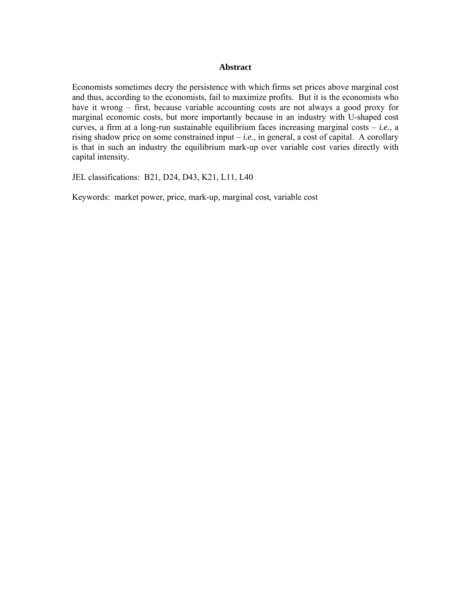#### **Abstract**

Economists sometimes decry the persistence with which firms set prices above marginal cost and thus, according to the economists, fail to maximize profits. But it is the economists who have it wrong – first, because variable accounting costs are not always a good proxy for marginal economic costs, but more importantly because in an industry with U-shaped cost curves, a firm at a long-run sustainable equilibrium faces increasing marginal costs – *i.e.*, a rising shadow price on some constrained input – *i.e.*, in general, a cost of capital. A corollary is that in such an industry the equilibrium mark-up over variable cost varies directly with capital intensity.

JEL classifications: B21, D24, D43, K21, L11, L40

Keywords: market power, price, mark-up, marginal cost, variable cost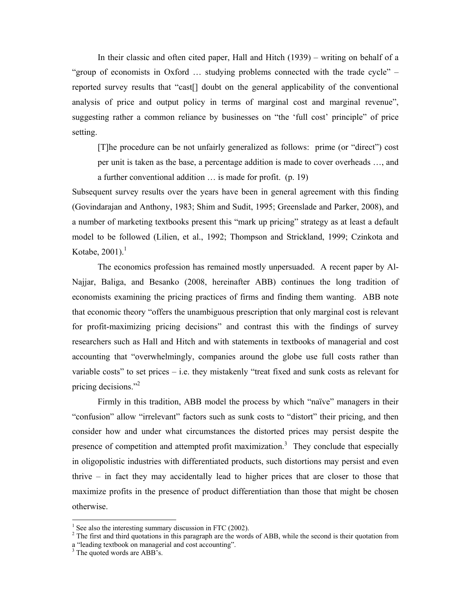In their classic and often cited paper, Hall and Hitch (1939) – writing on behalf of a "group of economists in Oxford … studying problems connected with the trade cycle" – reported survey results that "cast[] doubt on the general applicability of the conventional analysis of price and output policy in terms of marginal cost and marginal revenue", suggesting rather a common reliance by businesses on "the 'full cost' principle" of price setting.

[T]he procedure can be not unfairly generalized as follows: prime (or "direct") cost per unit is taken as the base, a percentage addition is made to cover overheads …, and a further conventional addition … is made for profit. (p. 19)

Subsequent survey results over the years have been in general agreement with this finding (Govindarajan and Anthony, 1983; Shim and Sudit, 1995; Greenslade and Parker, 2008), and a number of marketing textbooks present this "mark up pricing" strategy as at least a default model to be followed (Lilien, et al., 1992; Thompson and Strickland, 1999; Czinkota and Kotabe,  $2001$ ).<sup>1</sup>

 The economics profession has remained mostly unpersuaded. A recent paper by Al-Najjar, Baliga, and Besanko (2008, hereinafter ABB) continues the long tradition of economists examining the pricing practices of firms and finding them wanting. ABB note that economic theory "offers the unambiguous prescription that only marginal cost is relevant for profit-maximizing pricing decisions" and contrast this with the findings of survey researchers such as Hall and Hitch and with statements in textbooks of managerial and cost accounting that "overwhelmingly, companies around the globe use full costs rather than variable costs" to set prices – i.e. they mistakenly "treat fixed and sunk costs as relevant for pricing decisions."2

 Firmly in this tradition, ABB model the process by which "naïve" managers in their "confusion" allow "irrelevant" factors such as sunk costs to "distort" their pricing, and then consider how and under what circumstances the distorted prices may persist despite the presence of competition and attempted profit maximization.<sup>3</sup> They conclude that especially in oligopolistic industries with differentiated products, such distortions may persist and even thrive – in fact they may accidentally lead to higher prices that are closer to those that maximize profits in the presence of product differentiation than those that might be chosen otherwise.

 $<sup>1</sup>$  See also the interesting summary discussion in FTC (2002).</sup>

 $2^2$  The first and third quotations in this paragraph are the words of ABB, while the second is their quotation from a "leading textbook on managerial and cost accounting".

<sup>&</sup>lt;sup>3</sup> The quoted words are ABB's.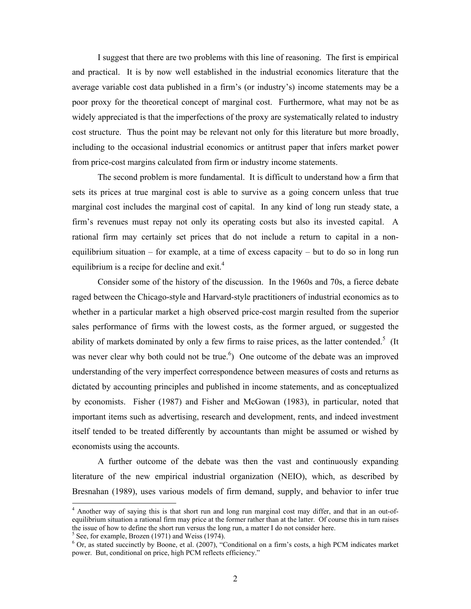I suggest that there are two problems with this line of reasoning. The first is empirical and practical. It is by now well established in the industrial economics literature that the average variable cost data published in a firm's (or industry's) income statements may be a poor proxy for the theoretical concept of marginal cost. Furthermore, what may not be as widely appreciated is that the imperfections of the proxy are systematically related to industry cost structure. Thus the point may be relevant not only for this literature but more broadly, including to the occasional industrial economics or antitrust paper that infers market power from price-cost margins calculated from firm or industry income statements.

 The second problem is more fundamental. It is difficult to understand how a firm that sets its prices at true marginal cost is able to survive as a going concern unless that true marginal cost includes the marginal cost of capital. In any kind of long run steady state, a firm's revenues must repay not only its operating costs but also its invested capital. A rational firm may certainly set prices that do not include a return to capital in a nonequilibrium situation – for example, at a time of excess capacity – but to do so in long run equilibrium is a recipe for decline and  $ext{ exit.}^4$ 

 Consider some of the history of the discussion. In the 1960s and 70s, a fierce debate raged between the Chicago-style and Harvard-style practitioners of industrial economics as to whether in a particular market a high observed price-cost margin resulted from the superior sales performance of firms with the lowest costs, as the former argued, or suggested the ability of markets dominated by only a few firms to raise prices, as the latter contended.<sup>5</sup> (It was never clear why both could not be true.<sup>6</sup>) One outcome of the debate was an improved understanding of the very imperfect correspondence between measures of costs and returns as dictated by accounting principles and published in income statements, and as conceptualized by economists. Fisher (1987) and Fisher and McGowan (1983), in particular, noted that important items such as advertising, research and development, rents, and indeed investment itself tended to be treated differently by accountants than might be assumed or wished by economists using the accounts.

 A further outcome of the debate was then the vast and continuously expanding literature of the new empirical industrial organization (NEIO), which, as described by Bresnahan (1989), uses various models of firm demand, supply, and behavior to infer true

<sup>&</sup>lt;sup>4</sup> Another way of saying this is that short run and long run marginal cost may differ, and that in an out-ofequilibrium situation a rational firm may price at the former rather than at the latter. Of course this in turn raises the issue of how to define the short run versus the long run, a matter I do not consider here.

 $<sup>5</sup>$  See, for example, Brozen (1971) and Weiss (1974).</sup>

<sup>&</sup>lt;sup>6</sup> Or, as stated succinctly by Boone, et al. (2007), "Conditional on a firm's costs, a high PCM indicates market power. But, conditional on price, high PCM reflects efficiency."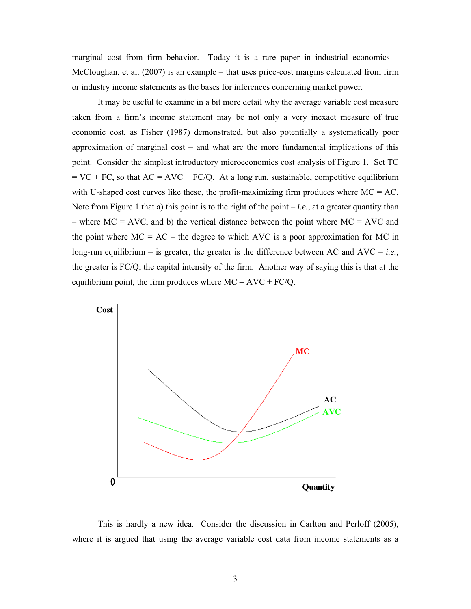marginal cost from firm behavior. Today it is a rare paper in industrial economics – McCloughan, et al. (2007) is an example – that uses price-cost margins calculated from firm or industry income statements as the bases for inferences concerning market power.

 It may be useful to examine in a bit more detail why the average variable cost measure taken from a firm's income statement may be not only a very inexact measure of true economic cost, as Fisher (1987) demonstrated, but also potentially a systematically poor approximation of marginal cost – and what are the more fundamental implications of this point. Consider the simplest introductory microeconomics cost analysis of Figure 1. Set TC  $=$  VC + FC, so that AC = AVC + FC/Q. At a long run, sustainable, competitive equilibrium with U-shaped cost curves like these, the profit-maximizing firm produces where  $MC = AC$ . Note from Figure 1 that a) this point is to the right of the point  $-i.e.,$  at a greater quantity than – where  $MC = AVC$ , and b) the vertical distance between the point where  $MC = AVC$  and the point where  $MC = AC -$  the degree to which AVC is a poor approximation for MC in long-run equilibrium – is greater, the greater is the difference between AC and  $AVC - i.e.,$ the greater is FC/Q, the capital intensity of the firm. Another way of saying this is that at the equilibrium point, the firm produces where  $MC = AVC + FC/Q$ .



 This is hardly a new idea. Consider the discussion in Carlton and Perloff (2005), where it is argued that using the average variable cost data from income statements as a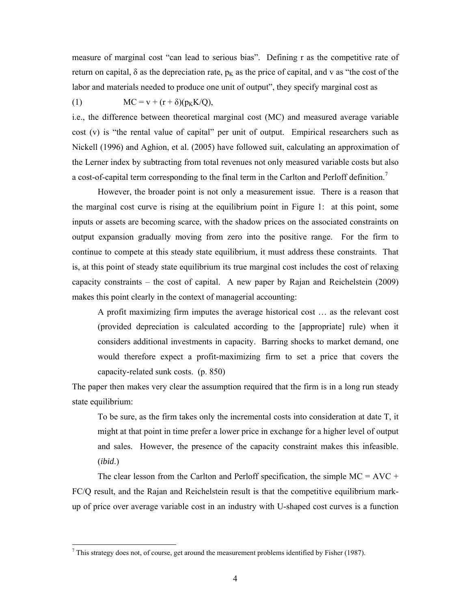measure of marginal cost "can lead to serious bias". Defining r as the competitive rate of return on capital,  $\delta$  as the depreciation rate,  $p_k$  as the price of capital, and v as "the cost of the labor and materials needed to produce one unit of output", they specify marginal cost as

(1)  $MC = v + (r + \delta)(p_K K/Q),$ 

i.e., the difference between theoretical marginal cost (MC) and measured average variable cost (v) is "the rental value of capital" per unit of output. Empirical researchers such as Nickell (1996) and Aghion, et al. (2005) have followed suit, calculating an approximation of the Lerner index by subtracting from total revenues not only measured variable costs but also a cost-of-capital term corresponding to the final term in the Carlton and Perloff definition.<sup>7</sup>

 However, the broader point is not only a measurement issue. There is a reason that the marginal cost curve is rising at the equilibrium point in Figure 1: at this point, some inputs or assets are becoming scarce, with the shadow prices on the associated constraints on output expansion gradually moving from zero into the positive range. For the firm to continue to compete at this steady state equilibrium, it must address these constraints. That is, at this point of steady state equilibrium its true marginal cost includes the cost of relaxing capacity constraints – the cost of capital. A new paper by Rajan and Reichelstein (2009) makes this point clearly in the context of managerial accounting:

A profit maximizing firm imputes the average historical cost … as the relevant cost (provided depreciation is calculated according to the [appropriate] rule) when it considers additional investments in capacity. Barring shocks to market demand, one would therefore expect a profit-maximizing firm to set a price that covers the capacity-related sunk costs. (p. 850)

The paper then makes very clear the assumption required that the firm is in a long run steady state equilibrium:

To be sure, as the firm takes only the incremental costs into consideration at date T, it might at that point in time prefer a lower price in exchange for a higher level of output and sales. However, the presence of the capacity constraint makes this infeasible. (*ibid*.)

The clear lesson from the Carlton and Perloff specification, the simple  $MC = AVC +$ FC/Q result, and the Rajan and Reichelstein result is that the competitive equilibrium markup of price over average variable cost in an industry with U-shaped cost curves is a function

 $\frac{1}{7}$  This strategy does not, of course, get around the measurement problems identified by Fisher (1987).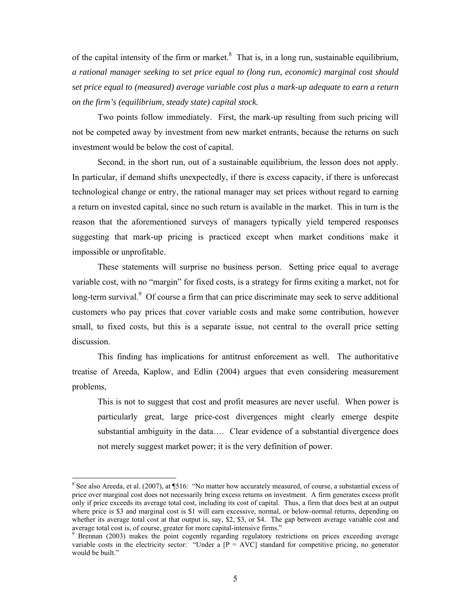of the capital intensity of the firm or market. $8$  That is, in a long run, sustainable equilibrium, *a rational manager seeking to set price equal to (long run, economic) marginal cost should set price equal to (measured) average variable cost plus a mark-up adequate to earn a return on the firm's (equilibrium, steady state) capital stock.* 

Two points follow immediately. First, the mark-up resulting from such pricing will not be competed away by investment from new market entrants, because the returns on such investment would be below the cost of capital.

 Second, in the short run, out of a sustainable equilibrium, the lesson does not apply. In particular, if demand shifts unexpectedly, if there is excess capacity, if there is unforecast technological change or entry, the rational manager may set prices without regard to earning a return on invested capital, since no such return is available in the market. This in turn is the reason that the aforementioned surveys of managers typically yield tempered responses suggesting that mark-up pricing is practiced except when market conditions make it impossible or unprofitable.

These statements will surprise no business person. Setting price equal to average variable cost, with no "margin" for fixed costs, is a strategy for firms exiting a market, not for long-term survival.<sup>9</sup> Of course a firm that can price discriminate may seek to serve additional customers who pay prices that cover variable costs and make some contribution, however small, to fixed costs, but this is a separate issue, not central to the overall price setting discussion.

 This finding has implications for antitrust enforcement as well. The authoritative treatise of Areeda, Kaplow, and Edlin (2004) argues that even considering measurement problems,

This is not to suggest that cost and profit measures are never useful. When power is particularly great, large price-cost divergences might clearly emerge despite substantial ambiguity in the data…. Clear evidence of a substantial divergence does not merely suggest market power; it is the very definition of power.

<sup>&</sup>lt;sup>8</sup> See also Areeda, et al. (2007), at ¶516: "No matter how accurately measured, of course, a substantial excess of price over marginal cost does not necessarily bring excess returns on investment. A firm generates excess profit only if price exceeds its average total cost, including its cost of capital. Thus, a firm that does best at an output where price is \$3 and marginal cost is \$1 will earn excessive, normal, or below-normal returns, depending on whether its average total cost at that output is, say, \$2, \$3, or \$4. The gap between average variable cost and average total cost is, of course, greater for more capital-intensive firms."

<sup>9</sup> Brennan (2003) makes the point cogently regarding regulatory restrictions on prices exceeding average variable costs in the electricity sector: "Under a  $[P = AVC]$  standard for competitive pricing, no generator would be built."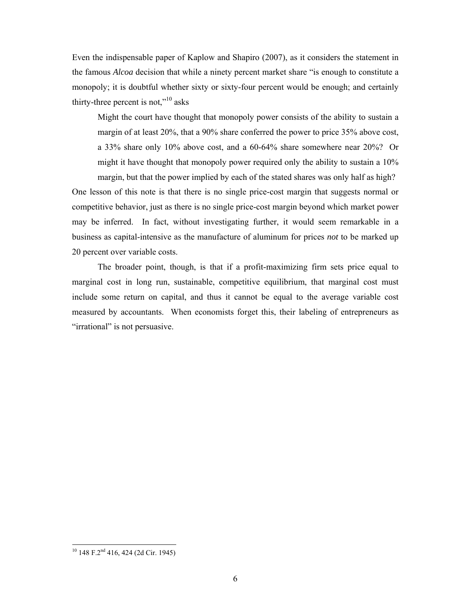Even the indispensable paper of Kaplow and Shapiro (2007), as it considers the statement in the famous *Alcoa* decision that while a ninety percent market share "is enough to constitute a monopoly; it is doubtful whether sixty or sixty-four percent would be enough; and certainly thirty-three percent is not,"<sup>10</sup> asks

Might the court have thought that monopoly power consists of the ability to sustain a margin of at least 20%, that a 90% share conferred the power to price 35% above cost, a 33% share only 10% above cost, and a 60-64% share somewhere near 20%? Or might it have thought that monopoly power required only the ability to sustain a 10% margin, but that the power implied by each of the stated shares was only half as high?

One lesson of this note is that there is no single price-cost margin that suggests normal or competitive behavior, just as there is no single price-cost margin beyond which market power may be inferred. In fact, without investigating further, it would seem remarkable in a business as capital-intensive as the manufacture of aluminum for prices *not* to be marked up 20 percent over variable costs.

 The broader point, though, is that if a profit-maximizing firm sets price equal to marginal cost in long run, sustainable, competitive equilibrium, that marginal cost must include some return on capital, and thus it cannot be equal to the average variable cost measured by accountants. When economists forget this, their labeling of entrepreneurs as "irrational" is not persuasive.

 $10$  148 F.2<sup>nd</sup> 416, 424 (2d Cir. 1945)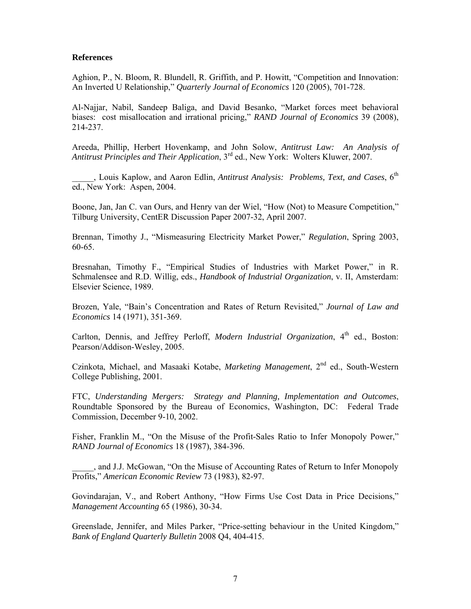#### **References**

Aghion, P., N. Bloom, R. Blundell, R. Griffith, and P. Howitt, "Competition and Innovation: An Inverted U Relationship," *Quarterly Journal of Economics* 120 (2005), 701-728.

Al-Najjar, Nabil, Sandeep Baliga, and David Besanko, "Market forces meet behavioral biases: cost misallocation and irrational pricing," *RAND Journal of Economics* 39 (2008), 214-237.

Areeda, Phillip, Herbert Hovenkamp, and John Solow, *Antitrust Law: An Analysis of Antitrust Principles and Their Application*, 3rd ed., New York: Wolters Kluwer, 2007.

\_\_\_\_\_, Louis Kaplow, and Aaron Edlin, *Antitrust Analysis: Problems, Text, and Cases*, 6th ed., New York: Aspen, 2004.

Boone, Jan, Jan C. van Ours, and Henry van der Wiel, "How (Not) to Measure Competition," Tilburg University, CentER Discussion Paper 2007-32, April 2007.

Brennan, Timothy J., "Mismeasuring Electricity Market Power," *Regulation*, Spring 2003, 60-65.

Bresnahan, Timothy F., "Empirical Studies of Industries with Market Power," in R. Schmalensee and R.D. Willig, eds., *Handbook of Industrial Organization*, v. II, Amsterdam: Elsevier Science, 1989.

Brozen, Yale, "Bain's Concentration and Rates of Return Revisited," *Journal of Law and Economics* 14 (1971), 351-369.

Carlton, Dennis, and Jeffrey Perloff, *Modern Industrial Organization*, 4<sup>th</sup> ed., Boston: Pearson/Addison-Wesley, 2005.

Czinkota, Michael, and Masaaki Kotabe, *Marketing Management*, 2nd ed., South-Western College Publishing, 2001.

FTC, *Understanding Mergers: Strategy and Planning, Implementation and Outcomes*, Roundtable Sponsored by the Bureau of Economics, Washington, DC: Federal Trade Commission, December 9-10, 2002.

Fisher, Franklin M., "On the Misuse of the Profit-Sales Ratio to Infer Monopoly Power," *RAND Journal of Economics* 18 (1987), 384-396.

\_\_\_\_\_, and J.J. McGowan, "On the Misuse of Accounting Rates of Return to Infer Monopoly Profits," *American Economic Review* 73 (1983), 82-97.

Govindarajan, V., and Robert Anthony, "How Firms Use Cost Data in Price Decisions," *Management Accounting* 65 (1986), 30-34.

Greenslade, Jennifer, and Miles Parker, "Price-setting behaviour in the United Kingdom," *Bank of England Quarterly Bulletin* 2008 Q4, 404-415.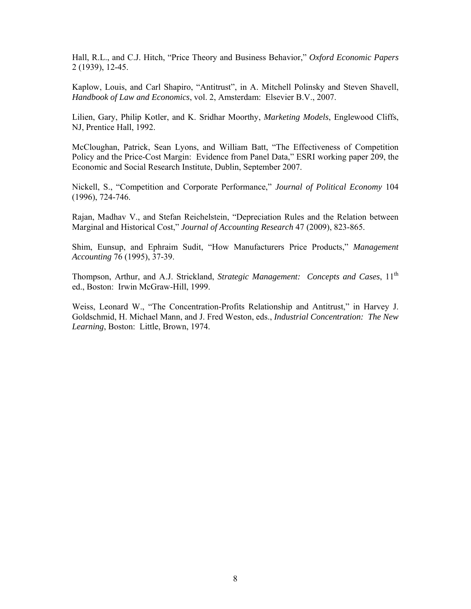Hall, R.L., and C.J. Hitch, "Price Theory and Business Behavior," *Oxford Economic Papers* 2 (1939), 12-45.

Kaplow, Louis, and Carl Shapiro, "Antitrust", in A. Mitchell Polinsky and Steven Shavell, *Handbook of Law and Economics*, vol. 2, Amsterdam: Elsevier B.V., 2007.

Lilien, Gary, Philip Kotler, and K. Sridhar Moorthy, *Marketing Models*, Englewood Cliffs, NJ, Prentice Hall, 1992.

McCloughan, Patrick, Sean Lyons, and William Batt, "The Effectiveness of Competition Policy and the Price-Cost Margin: Evidence from Panel Data," ESRI working paper 209, the Economic and Social Research Institute, Dublin, September 2007.

Nickell, S., "Competition and Corporate Performance," *Journal of Political Economy* 104 (1996), 724-746.

Rajan, Madhav V., and Stefan Reichelstein, "Depreciation Rules and the Relation between Marginal and Historical Cost," *Journal of Accounting Research* 47 (2009), 823-865.

Shim, Eunsup, and Ephraim Sudit, "How Manufacturers Price Products," *Management Accounting* 76 (1995), 37-39.

Thompson, Arthur, and A.J. Strickland, *Strategic Management: Concepts and Cases*, 11<sup>th</sup> ed., Boston: Irwin McGraw-Hill, 1999.

Weiss, Leonard W., "The Concentration-Profits Relationship and Antitrust," in Harvey J. Goldschmid, H. Michael Mann, and J. Fred Weston, eds., *Industrial Concentration: The New Learning*, Boston: Little, Brown, 1974.